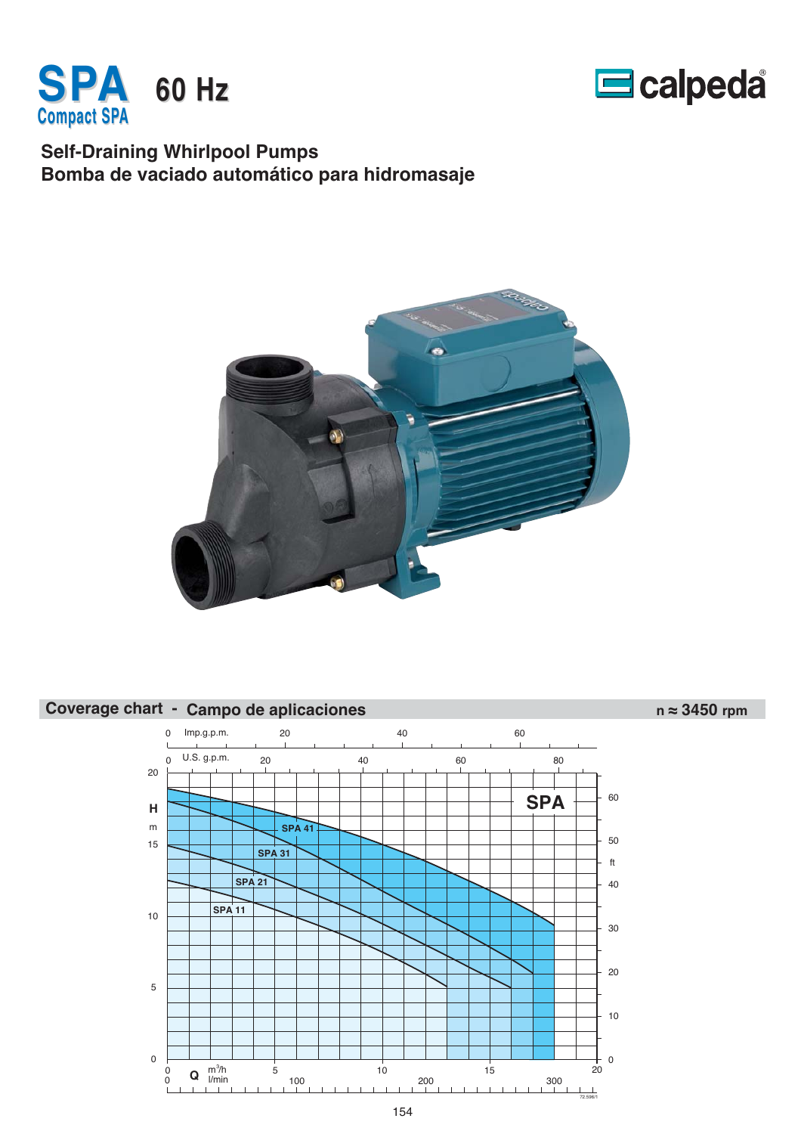



### **Self-Draining Whirlpool Pumps Bomba de vaciado automático para hidromasaje**



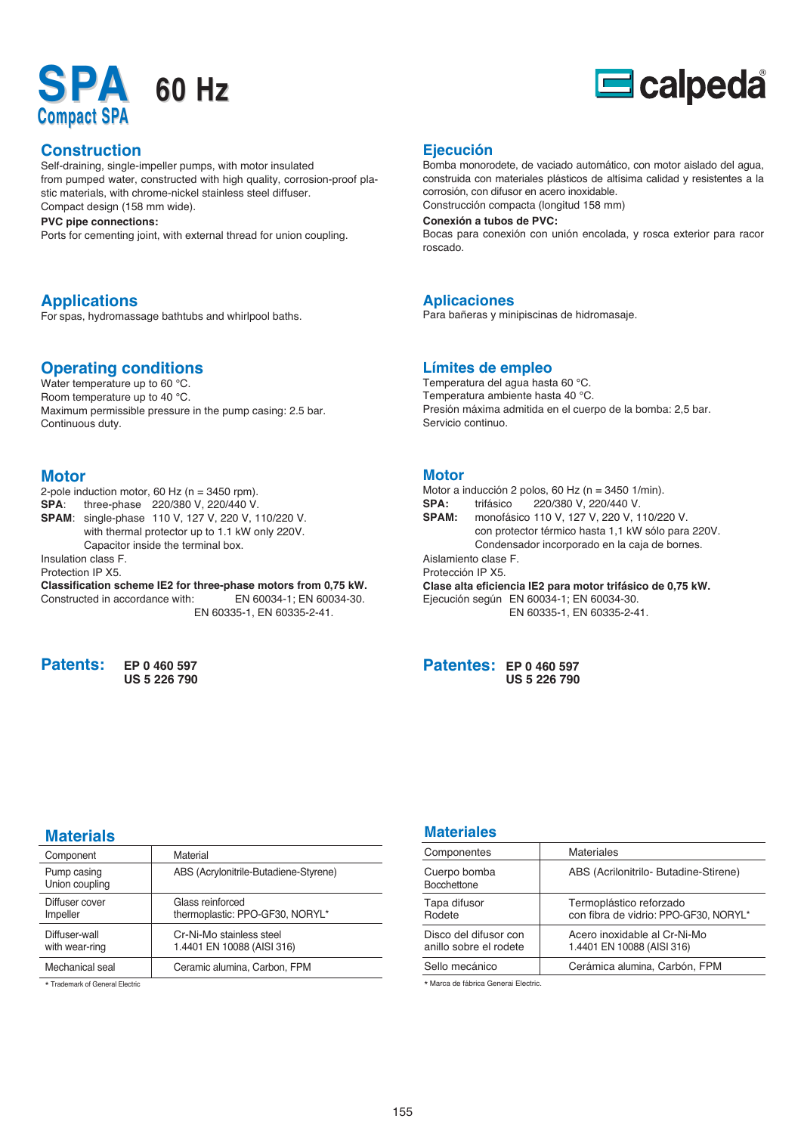# **SPA 60 Hz Compact SPA**

# $\blacksquare$ calpeda

#### **Construction**

Self-draining, single-impeller pumps, with motor insulated from pumped water, constructed with high quality, corrosion-proof plastic materials, with chrome-nickel stainless steel diffuser. Compact design (158 mm wide).

#### **PVC pipe connections:**

Ports for cementing joint, with external thread for union coupling.

### **Applications**

For spas, hydromassage bathtubs and whirlpool baths.

#### **Operating conditions**

Water temperature up to 60 °C. Room temperature up to 40 °C. Maximum permissible pressure in the pump casing: 2.5 bar. Continuous duty.

#### **Motor**

2-pole induction motor, 60 Hz ( $n = 3450$  rpm). **SPA**: three-phase 220/380 V, 220/440 V. **SPAM**: single-phase 110 V, 127 V, 220 V, 110/220 V. with thermal protector up to 1.1 kW only 220V. Capacitor inside the terminal box. Insulation class F. Protection IP X5. **Classification scheme IE2 for three-phase motors from 0,75 kW.** Constructed in accordance with: EN 60034-1; EN 60034-30. EN 60335-1, EN 60335-2-41.

**Patents: EP 0 460 597**

**US 5 226 790**

#### **Ejecución**

Bomba monorodete, de vaciado automático, con motor aislado del agua, construida con materiales plásticos de altísima calidad y resistentes a la corrosión, con difusor en acero inoxidable. Construcción compacta (longitud 158 mm)

#### **Conexión a tubos de PVC:**

Bocas para conexión con unión encolada, y rosca exterior para racor roscado.

#### **Aplicaciones**

Para bañeras y minipiscinas de hidromasaje.

#### **Límites de empleo**

Temperatura del agua hasta 60 °C. Temperatura ambiente hasta 40 °C. Presión máxima admitida en el cuerpo de la bomba: 2,5 bar. Servicio continuo.

#### **Motor**

|                  | Motor a inducción 2 polos, 60 Hz ( $n = 3450$ 1/min).      |  |  |  |  |  |  |  |  |
|------------------|------------------------------------------------------------|--|--|--|--|--|--|--|--|
| <b>SPA:</b>      | trifásico 220/380 V, 220/440 V.                            |  |  |  |  |  |  |  |  |
| <b>SPAM:</b>     | monofásico 110 V, 127 V, 220 V, 110/220 V.                 |  |  |  |  |  |  |  |  |
|                  | con protector térmico hasta 1,1 kW sólo para 220V.         |  |  |  |  |  |  |  |  |
|                  | Condensador incorporado en la caja de bornes.              |  |  |  |  |  |  |  |  |
|                  | Aislamiento clase F.                                       |  |  |  |  |  |  |  |  |
| Protección IP X5 |                                                            |  |  |  |  |  |  |  |  |
|                  | Clase alta eficiencia IE2 para motor trifásico de 0,75 kW. |  |  |  |  |  |  |  |  |
|                  | Ejecución según EN 60034-1; EN 60034-30.                   |  |  |  |  |  |  |  |  |
|                  | EN 60335-1, EN 60335-2-41.                                 |  |  |  |  |  |  |  |  |
|                  |                                                            |  |  |  |  |  |  |  |  |

| <b>Patentes: EP 0 460 597</b> |                     |
|-------------------------------|---------------------|
|                               | <b>US 5 226 790</b> |

#### **Materials**

| Component                       | Material                                               |
|---------------------------------|--------------------------------------------------------|
| Pump casing<br>Union coupling   | ABS (Acrylonitrile-Butadiene-Styrene)                  |
| Diffuser cover<br>Impeller      | Glass reinforced<br>thermoplastic: PPO-GF30, NORYL*    |
| Diffuser-wall<br>with wear-ring | Cr-Ni-Mo stainless steel<br>1.4401 EN 10088 (AISI 316) |
| Mechanical seal                 | Ceramic alumina, Carbon, FPM                           |

\* Trademark of General Electric

#### **Materiales**

| Componentes                                     | <b>Materiales</b>                                                |
|-------------------------------------------------|------------------------------------------------------------------|
| Cuerpo bomba<br><b>Bocchettone</b>              | ABS (Acrilonitrilo- Butadine-Stirene)                            |
| Tapa difusor<br>Rodete                          | Termoplástico reforzado<br>con fibra de vidrio: PPO-GF30, NORYL* |
| Disco del difusor con<br>anillo sobre el rodete | Acero inoxidable al Cr-Ni-Mo<br>1.4401 EN 10088 (AISI 316)       |
| Sello mecánico                                  | Cerámica alumina, Carbón, FPM                                    |

\* Marca de fábrica Generai Electric.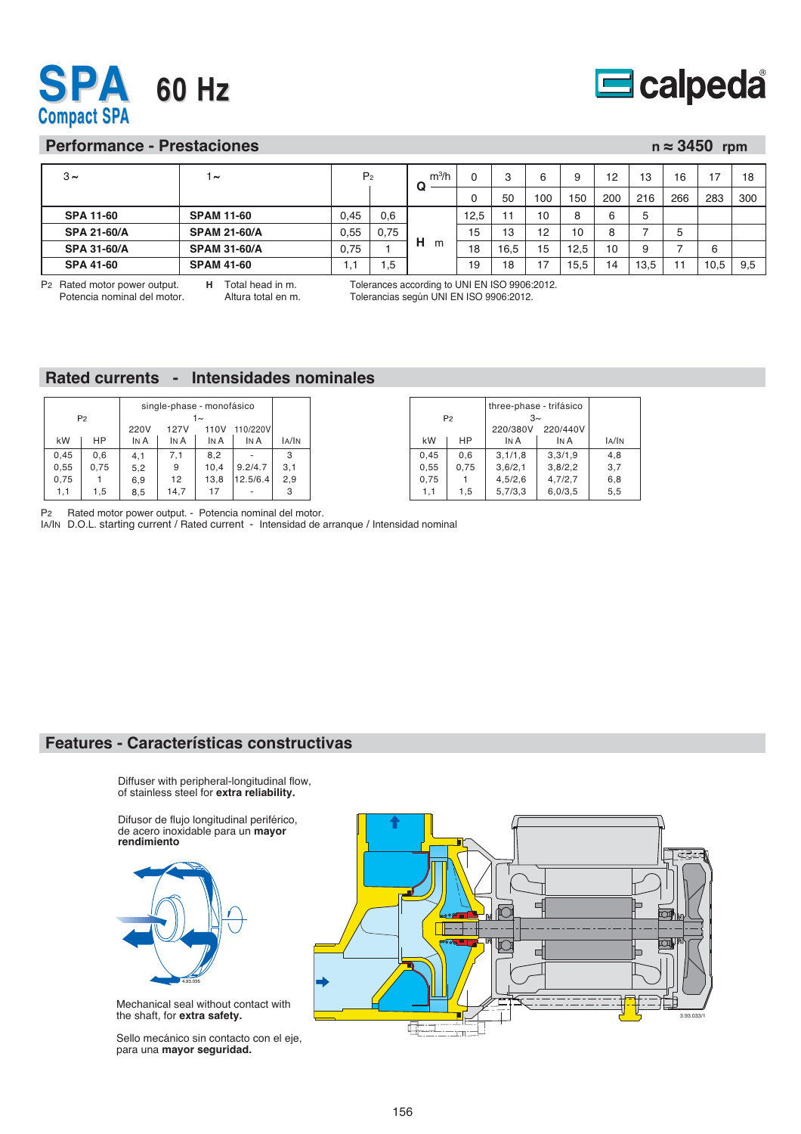



#### **Performance - Prestaciones n ≈ 3450 rpm**

| $3\sim$            | $\sim$              | P <sub>2</sub> |      | m <sup>3</sup> /h<br>u |      | 3              | 6   | 9    | 12  | 13   | 16  | 17   | 18  |
|--------------------|---------------------|----------------|------|------------------------|------|----------------|-----|------|-----|------|-----|------|-----|
|                    |                     |                |      |                        | v    | 50             | 100 | 150  | 200 | 216  | 266 | 283  | 300 |
| <b>SPA 11-60</b>   | <b>SPAM 11-60</b>   | 0,45           | 0,6  |                        | 12,5 | $\overline{1}$ | 10  | 8    | ี   | 5    |     |      |     |
| <b>SPA 21-60/A</b> | <b>SPAM 21-60/A</b> | 0,55           | 0,75 |                        | 15   | 13             | 12  | 10   | 8   |      | 5   |      |     |
| <b>SPA 31-60/A</b> | <b>SPAM 31-60/A</b> | 0,75           |      | н<br>m                 | 18   | 16,5           | 15  | 12.5 | 10  | 9    |     | 6    |     |
| <b>SPA 41-60</b>   | <b>SPAM 41-60</b>   |                | . 5  |                        | 19   | 18             | ៎   | 15.5 | 14  | 13,5 |     | 10,5 | 9,5 |
|                    |                     |                |      |                        |      |                |     |      |     |      |     |      |     |

P2 Rated motor power output. Potencia nominal del motor. **H** Total head in m. Altura total en m. Tolerances according to UNI EN ISO 9906:2012. Tolerancias según UNI EN ISO 9906:2012.

#### **Rated currents - Intensidades nominales**

|      |                |      | single-phase - monofásico |      |          |       |
|------|----------------|------|---------------------------|------|----------|-------|
|      | P <sub>2</sub> |      |                           | 1∼   |          |       |
|      |                | 220V | <b>127V</b>               | 110V | 110/220V |       |
| kW   | HP             | IN A | IN A                      | IN A | IN A     | IA/IN |
| 0,45 | 0,6            | 4,1  | 7,1                       | 8,2  |          | 3     |
| 0,55 | 0,75           | 5,2  | 9                         | 10,4 | 9.2/4.7  | 3,1   |
| 0,75 |                | 6,9  | 12                        | 13,8 | 12.5/6.4 | 2,9   |
| 1,1  | 1,5            | 8,5  | 14,7                      | 17   |          | 3     |

|      |                | three-phase - trifásico |         |       |
|------|----------------|-------------------------|---------|-------|
|      | P <sub>2</sub> | $3\sim$                 |         |       |
|      |                | 220/380V                |         |       |
| kW   | HP             | IN A                    | IN A    | IA/IN |
| 0,45 | 0.6            | 3,1/1,8                 | 3,3/1,9 | 4.8   |
| 0.55 | 0,75           | 3,6/2,1                 | 3,8/2,2 | 3,7   |
| 0,75 |                | 4,5/2,6                 | 4,7/2,7 | 6,8   |
| 1,1  | 1,5            | 5,7/3,3                 | 6,0/3,5 | 5,5   |

P2 Rated motor power output. - Potencia nominal del motor.

IA/IN D.O.L. starting current / Rated current - Intensidad de arranque / Intensidad nominal

#### **Features - Características constructivas**

Diffuser with peripheral-longitudinal flow, of stainless steel for **extra reliability.**

Difusor de flujo longitudinal periférico, de acero inoxidable para un **mayor rendimiento**



Mechanical seal without contact with the shaft, for **extra safety.**

Sello mecánico sin contacto con el eje, para una **mayor seguridad.**